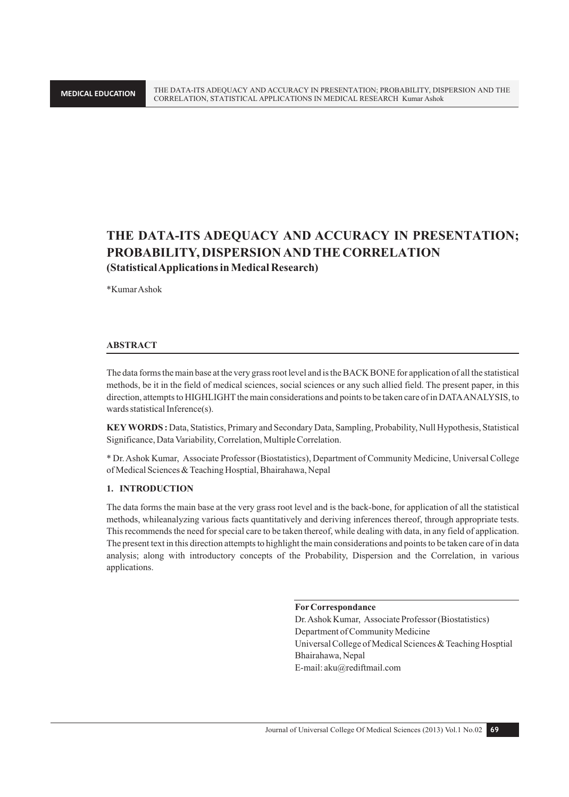## **THE DATA-ITS ADEQUACY AND ACCURACY IN PRESENTATION; PROBABILITY, DISPERSION AND THE CORRELATION (Statistical Applications in Medical Research)**

\*Kumar Ashok

#### **ABSTRACT**

The data forms the main base at the very grass root level and is the BACK BONE for application of all the statistical methods, be it in the field of medical sciences, social sciences or any such allied field. The present paper, in this direction, attempts to HIGHLIGHT the main considerations and points to be taken care of in DATA ANALYSIS, to wards statistical Inference(s).

**KEY WORDS :** Data, Statistics, Primary and Secondary Data, Sampling, Probability, Null Hypothesis, Statistical Significance, Data Variability, Correlation, Multiple Correlation.

\* Dr. Ashok Kumar, Associate Professor (Biostatistics), Department of Community Medicine, Universal College of Medical Sciences & Teaching Hosptial, Bhairahawa, Nepal

#### **1. INTRODUCTION**

The data forms the main base at the very grass root level and is the back-bone, for application of all the statistical methods, whileanalyzing various facts quantitatively and deriving inferences thereof, through appropriate tests. This recommends the need for special care to be taken thereof, while dealing with data, in any field of application. The present text in this direction attempts to highlight the main considerations and points to be taken care of in data analysis; along with introductory concepts of the Probability, Dispersion and the Correlation, in various applications.

**For Correspondance**

Dr. Ashok Kumar, Associate Professor (Biostatistics) Department of Community Medicine Universal College of Medical Sciences & Teaching Hosptial Bhairahawa, Nepal E-mail: aku@rediftmail.com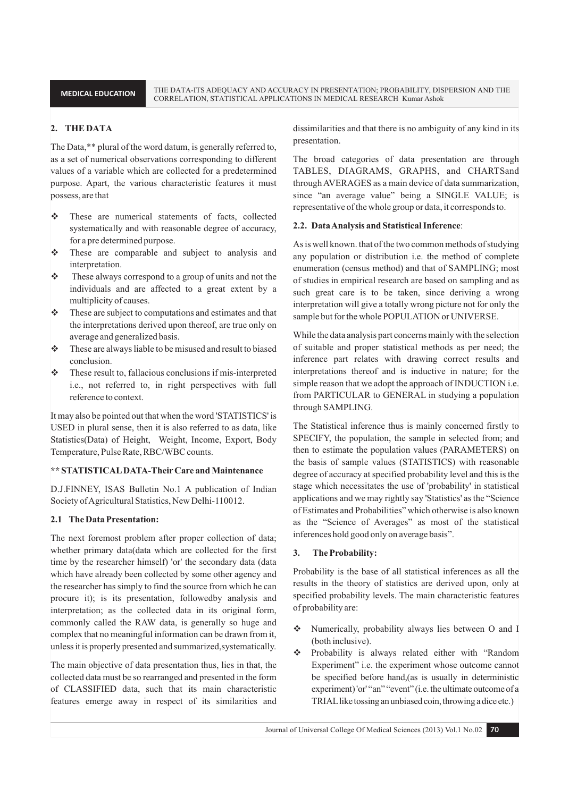## **2. THE DATA**

The Data,\*\* plural of the word datum, is generally referred to, as a set of numerical observations corresponding to different values of a variable which are collected for a predetermined purpose. Apart, the various characteristic features it must possess, are that

- \* These are numerical statements of facts, collected systematically and with reasonable degree of accuracy, for a pre determined purpose.
- $\div$  These are comparable and subject to analysis and interpretation.
- \* These always correspond to a group of units and not the individuals and are affected to a great extent by a multiplicity of causes.
- $\cdot \cdot$  These are subject to computations and estimates and that the interpretations derived upon thereof, are true only on average and generalized basis.
- $\div$  These are always liable to be misused and result to biased conclusion.
- $\triangle$  These result to, fallacious conclusions if mis-interpreted i.e., not referred to, in right perspectives with full reference to context.

It may also be pointed out that when the word 'STATISTICS' is USED in plural sense, then it is also referred to as data, like Statistics(Data) of Height, Weight, Income, Export, Body Temperature, Pulse Rate, RBC/WBC counts.

#### **\*\* STATISTICAL DATA-Their Care and Maintenance**

D.J.FINNEY, ISAS Bulletin No.1 A publication of Indian Society of Agricultural Statistics, New Delhi-110012.

#### **2.1 The Data Presentation:**

The next foremost problem after proper collection of data; whether primary data(data which are collected for the first time by the researcher himself) 'or' the secondary data (data which have already been collected by some other agency and the researcher has simply to find the source from which he can procure it); is its presentation, followedby analysis and interpretation; as the collected data in its original form, commonly called the RAW data, is generally so huge and complex that no meaningful information can be drawn from it, unless it is properly presented and summarized,systematically.

The main objective of data presentation thus, lies in that, the collected data must be so rearranged and presented in the form of CLASSIFIED data, such that its main characteristic features emerge away in respect of its similarities and

dissimilarities and that there is no ambiguity of any kind in its presentation.

The broad categories of data presentation are through TABLES, DIAGRAMS, GRAPHS, and CHARTSand through AVERAGES as a main device of data summarization, since "an average value" being a SINGLE VALUE; is representative of the whole group or data, it corresponds to.

#### **2.2. Data Analysis and Statistical Inference**:

As is well known. that of the two common methods of studying any population or distribution i.e. the method of complete enumeration (census method) and that of SAMPLING; most of studies in empirical research are based on sampling and as such great care is to be taken, since deriving a wrong interpretation will give a totally wrong picture not for only the sample but for the whole POPULATION or UNIVERSE.

While the data analysis part concerns mainly with the selection of suitable and proper statistical methods as per need; the inference part relates with drawing correct results and interpretations thereof and is inductive in nature; for the simple reason that we adopt the approach of INDUCTION i.e. from PARTICULAR to GENERAL in studying a population through SAMPLING.

The Statistical inference thus is mainly concerned firstly to SPECIFY, the population, the sample in selected from; and then to estimate the population values (PARAMETERS) on the basis of sample values (STATISTICS) with reasonable degree of accuracy at specified probability level and this is the stage which necessitates the use of 'probability' in statistical applications and we may rightly say 'Statistics' as the "Science of Estimates and Probabilities" which otherwise is also known as the "Science of Averages" as most of the statistical inferences hold good only on average basis".

#### **3. The Probability:**

Probability is the base of all statistical inferences as all the results in the theory of statistics are derived upon, only at specified probability levels. The main characteristic features of probability are:

- Numerically, probability always lies between O and I (both inclusive).
- Probability is always related either with "Random Experiment" i.e. the experiment whose outcome cannot be specified before hand,(as is usually in deterministic experiment) 'or' "an" "event" (i.e. the ultimate outcome of a TRIAL like tossing an unbiased coin, throwing a dice etc.)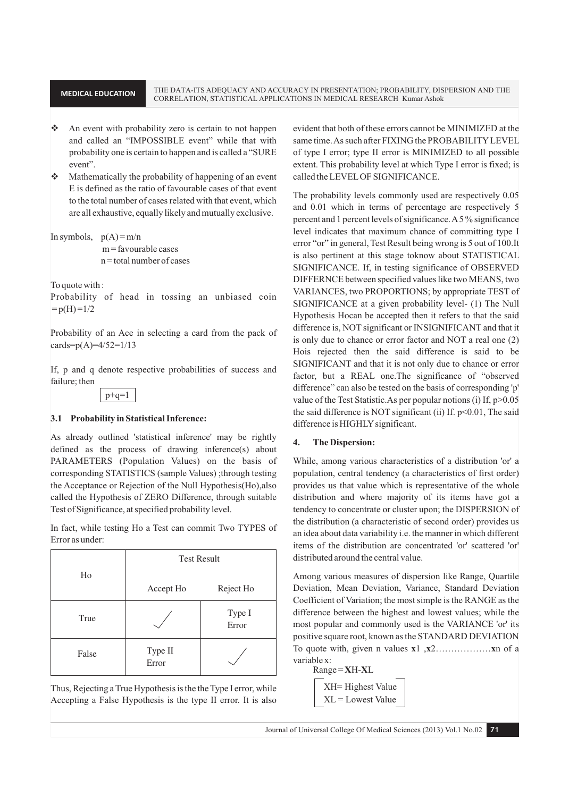**MEDICAL EDUCATION** THE DATA-ITS ADEQUACY AND ACCURACY IN PRESENTATION; PROBABILITY, DISPERSION AND THE CORRELATION, STATISTICAL APPLICATIONS IN MEDICAL RESEARCH Kumar Ashok

- An event with probability zero is certain to not happen and called an "IMPOSSIBLE event" while that with probability one is certain to happen and is called a "SURE event".
- $\triangleleft$  Mathematically the probability of happening of an event E is defined as the ratio of favourable cases of that event to the total number of cases related with that event, which are all exhaustive, equally likely and mutually exclusive.

```
In symbols, p(A) = m/n
```
 $m =$ favourable cases  $n =$ total number of cases

To quote with :

Probability of head in tossing an unbiased coin  $= p(H) = 1/2$ 

Probability of an Ace in selecting a card from the pack of cards= $p(A)=4/52=1/13$ 

If, p and q denote respective probabilities of success and failure; then



## **3.1 Probability in Statistical Inference:**

As already outlined 'statistical inference' may be rightly defined as the process of drawing inference(s) about PARAMETERS (Population Values) on the basis of corresponding STATISTICS (sample Values) ;through testing the Acceptance or Rejection of the Null Hypothesis(Ho),also called the Hypothesis of ZERO Difference, through suitable Test of Significance, at specified probability level.

In fact, while testing Ho a Test can commit Two TYPES of Error as under:

| Ho    | <b>Test Result</b> |                 |
|-------|--------------------|-----------------|
|       | Accept Ho          | Reject Ho       |
| True  |                    | Type I<br>Error |
| False | Type II<br>Error   |                 |

Thus, Rejecting a True Hypothesis is the the Type I error, while Accepting a False Hypothesis is the type II error. It is also evident that both of these errors cannot be MINIMIZED at the same time. As such after FIXING the PROBABILITY LEVEL of type I error; type II error is MINIMIZED to all possible extent. This probability level at which Type I error is fixed; is called the LEVEL OF SIGNIFICANCE.

The probability levels commonly used are respectively 0.05 and 0.01 which in terms of percentage are respectively 5 percent and 1 percent levels of significance. A 5 % significance level indicates that maximum chance of committing type I error "or" in general, Test Result being wrong is 5 out of 100.It is also pertinent at this stage toknow about STATISTICAL SIGNIFICANCE. If, in testing significance of OBSERVED DIFFERNCE between specified values like two MEANS, two VARIANCES, two PROPORTIONS; by appropriate TEST of SIGNIFICANCE at a given probability level- (1) The Null Hypothesis Hocan be accepted then it refers to that the said difference is, NOT significant or INSIGNIFICANT and that it is only due to chance or error factor and NOT a real one (2) Hois rejected then the said difference is said to be SIGNIFICANT and that it is not only due to chance or error factor, but a REAL one.The significance of "observed difference" can also be tested on the basis of corresponding 'p' value of the Test Statistic.As per popular notions (i) If, p>0.05 the said difference is NOT significant (ii) If.  $p<0.01$ , The said difference is HIGHLY significant.

## **4. The Dispersion:**

While, among various characteristics of a distribution 'or' a population, central tendency (a characteristics of first order) provides us that value which is representative of the whole distribution and where majority of its items have got a tendency to concentrate or cluster upon; the DISPERSION of the distribution (a characteristic of second order) provides us an idea about data variability i.e. the manner in which different items of the distribution are concentrated 'or' scattered 'or' distributed around the central value.

Among various measures of dispersion like Range, Quartile Deviation, Mean Deviation, Variance, Standard Deviation Coefficient of Variation; the most simple is the RANGE as the difference between the highest and lowest values; while the most popular and commonly used is the VARIANCE 'or' its positive square root, known as the STANDARD DEVIATION To quote with, given n values **x**1 ,**x**2………………**x**n of a variable x:

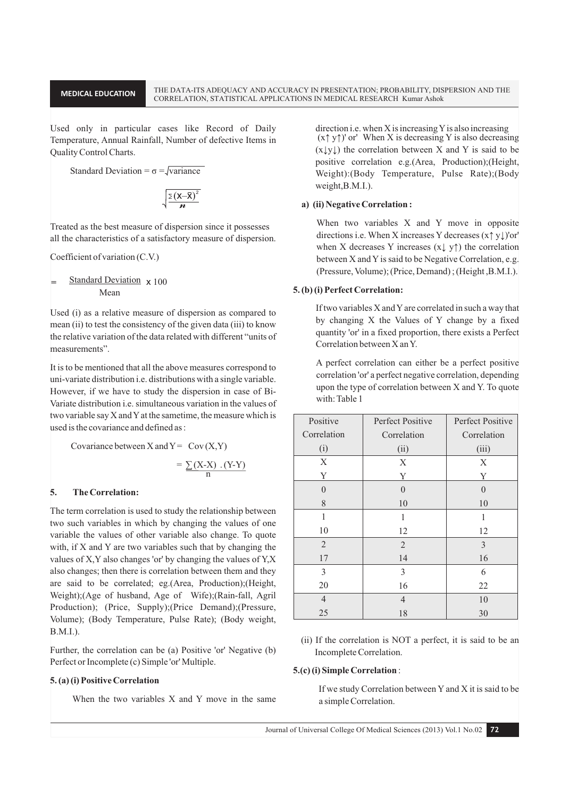#### **MEDICAL EDUCATION**

Used only in particular cases like Record of Daily Temperature, Annual Rainfall, Number of defective Items in Quality Control Charts.

Standard Deviation = 
$$
\sigma = \sqrt{\text{variance}}
$$

$$
\sqrt{\frac{\Sigma\left(X-\overline{X}\right)^2}{n}}
$$

Treated as the best measure of dispersion since it possesses all the characteristics of a satisfactory measure of dispersion.

Coefficient of variation (C.V.)

$$
= \frac{\text{Standard Deviation}}{\text{Mean}} \times 100
$$

Used (i) as a relative measure of dispersion as compared to mean (ii) to test the consistency of the given data (iii) to know the relative variation of the data related with different "units of measurements".

It is to be mentioned that all the above measures correspond to uni-variate distribution *i.e.* distributions with a single variable. However, if we have to study the dispersion in case of Bi-Variate distribution *i.e.* simultaneous variation in the values of two variable say X and Y at the sametime, the measure which is used is the covariance and defined as:

Covariance between X and Y = Cov (X,Y)  
= 
$$
\sum (X-X) . (Y-Y)
$$
  
<sub>n</sub>

#### 5. **The Correlation:**

The term correlation is used to study the relationship between two such variables in which by changing the values of one variable the values of other variable also change. To quote with, if X and Y are two variables such that by changing the values of X, Y also changes 'or' by changing the values of Y, X also changes; then there is correlation between them and they are said to be correlated; eg. (Area, Production); (Height, Weight);(Age of husband, Age of Wife);(Rain-fall, Agril Production); (Price, Supply); (Price Demand); (Pressure, Volume); (Body Temperature, Pulse Rate); (Body weight,  $B.M.I.$ ).

Further, the correlation can be (a) Positive 'or' Negative (b) Perfect or Incomplete (c) Simple 'or' Multiple.

#### 5. (a) (i) Positive Correlation

When the two variables X and Y move in the same

direction i.e. when X is increasing Y is also increasing  $(x \uparrow y \uparrow)'$  or' When X is decreasing Y is also decreasing  $(x \downarrow y \downarrow)$  the correlation between X and Y is said to be positive correlation e.g. (Area, Production); (Height, Weight):(Body Temperature, Pulse Rate);(Body weight, B.M.I.).

#### a) (ii) Negative Correlation:

When two variables X and Y move in opposite directions i.e. When X increases Y decreases  $(x \uparrow y \downarrow)'$  or when X decreases Y increases  $(x \downarrow y \uparrow)$  the correlation between X and Y is said to be Negative Correlation, e.g. (Pressure, Volume); (Price, Demand); (Height, B.M.I.).

#### 5. (b) (i) Perfect Correlation:

If two variables X and Y are correlated in such a way that by changing X the Values of Y change by a fixed quantity 'or' in a fixed proportion, there exists a Perfect Correlation between X an Y.

A perfect correlation can either be a perfect positive correlation 'or' a perfect negative correlation, depending upon the type of correlation between X and Y. To quote with: Table 1

| Positive       | Perfect Positive | Perfect Positive |
|----------------|------------------|------------------|
| Correlation    | Correlation      | Correlation      |
| (i)            | (ii)             | (iii)            |
| X              | X                | X                |
| Y              | Y                | Y                |
| $\Omega$       | 0                | $\Omega$         |
| 8              | 10               | 10               |
| 1              | 1                | 1                |
| 10             | 12               | 12               |
| 2              | 2                | 3                |
| 17             | 14               | 16               |
| 3              | 3                | 6                |
| 20             | 16               | 22               |
| $\overline{4}$ | $\overline{4}$   | 10               |
| 25             | 18               | 30               |

(ii) If the correlation is NOT a perfect, it is said to be an Incomplete Correlation.

#### 5.(c) (i) Simple Correlation:

If we study Correlation between Y and X it is said to be a simple Correlation.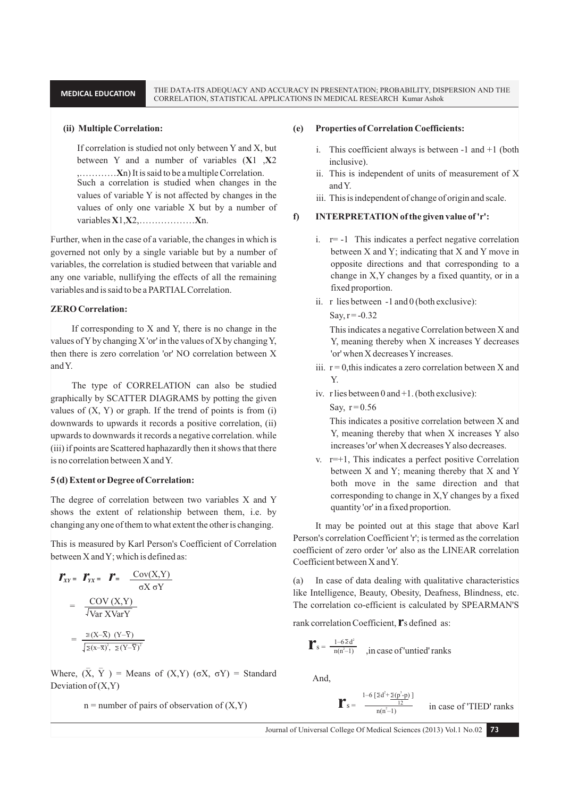#### **(ii) Multiple Correlation:**

If correlation is studied not only between Y and X, but between Y and a number of variables (**X**1 ,**X**2 ,…………**X**n) It is said to be a multiple Correlation. Such a correlation is studied when changes in the values of variable Y is not affected by changes in the values of only one variable X but by a number of variables **X**1,**X**2,………………**X**n.

Further, when in the case of a variable, the changes in which is governed not only by a single variable but by a number of variables, the correlation is studied between that variable and any one variable, nullifying the effects of all the remaining variables and is said to be a PARTIAL Correlation.

## **ZERO Correlation:**

If corresponding to X and Y, there is no change in the values of Y by changing X 'or' in the values of X by changing Y, then there is zero correlation 'or' NO correlation between X and Y.

The type of CORRELATION can also be studied graphically by SCATTER DIAGRAMS by potting the given values of  $(X, Y)$  or graph. If the trend of points is from  $(i)$ downwards to upwards it records a positive correlation, (ii) upwards to downwards it records a negative correlation. while (iii) if points are Scattered haphazardly then it shows that there is no correlation between X and Y.

#### **5 (d) Extent or Degree of Correlation:**

The degree of correlation between two variables X and Y shows the extent of relationship between them, i.e. by changing any one of them to what extent the other is changing.

This is measured by Karl Person's Coefficient of Correlation between X and Y; which is defined as:

$$
\mathbf{r}_{XY} = \mathbf{r}_{YX} = \mathbf{r} = \frac{\text{Cov}(X, Y)}{\sigma X \sigma Y}
$$

$$
= \frac{\text{Cov}(X, Y)}{\sqrt{\text{Var XVarY}}}
$$

$$
= \frac{Z(X-\overline{X}) (Y-\overline{Y})}{\sqrt{Z(X-\overline{X})^2, Z(Y-\overline{Y})^2}}
$$

Where,  $(\overline{X}, \overline{Y})$  = Means of  $(X, Y)$   $(\sigma X, \sigma Y)$  = Standard Deviation of  $(X, Y)$ 

 $n =$  number of pairs of observation of  $(X, Y)$ 

#### **(e) Properties of Correlation Coefficients:**

- i. This coefficient always is between -1 and +1 (both inclusive).
- ii. This is independent of units of measurement of X and Y.
- iii. This is independent of change of origin and scale.

#### **f) INTERPRETATION of the given value of 'r':**

- i.  $r=-1$  This indicates a perfect negative correlation between X and Y; indicating that X and Y move in opposite directions and that corresponding to a change in X,Y changes by a fixed quantity, or in a fixed proportion.
- ii. r lies between -1 and 0 (both exclusive):

 $Say, r = -0.32$ 

This indicates a negative Correlation between X and Y, meaning thereby when X increases Y decreases 'or' when X decreases Y increases.

- iii.  $r = 0$ , this indicates a zero correlation between X and Y.
- iv. r lies between 0 and +1. (both exclusive):

Say,  $r = 0.56$ 

This indicates a positive correlation between X and Y, meaning thereby that when X increases Y also increases 'or' when X decreases Y also decreases.

v.  $r=+1$ , This indicates a perfect positive Correlation between X and Y; meaning thereby that X and Y both move in the same direction and that corresponding to change in X,Y changes by a fixed quantity 'or' in a fixed proportion.

It may be pointed out at this stage that above Karl Person's correlation Coefficient 'r'; is termed as the correlation coefficient of zero order 'or' also as the LINEAR correlation Coefficient between X and Y.

(a) In case of data dealing with qualitative characteristics like Intelligence, Beauty, Obesity, Deafness, Blindness, etc. The correlation co-efficient is calculated by SPEARMAN'S

rank correlation Coefficient,**r**<sup>s</sup> defined as:

$$
\mathbf{r}_s = \frac{1 - 6 \Sigma d^2}{n(n^2 - 1)} \quad \text{, in case of 'untied' ranks}
$$

And,

$$
\mathbf{r}_{s} = \frac{1 - 6 \left[ 2d^{2} + \frac{\sum (p^{3} - p)}{12} \right]}{n(n^{2} - 1)}
$$
 in case of 'THED' ranks

Journal of Universal College Of Medical Sciences (2013) Vol.1 No.02 **73**